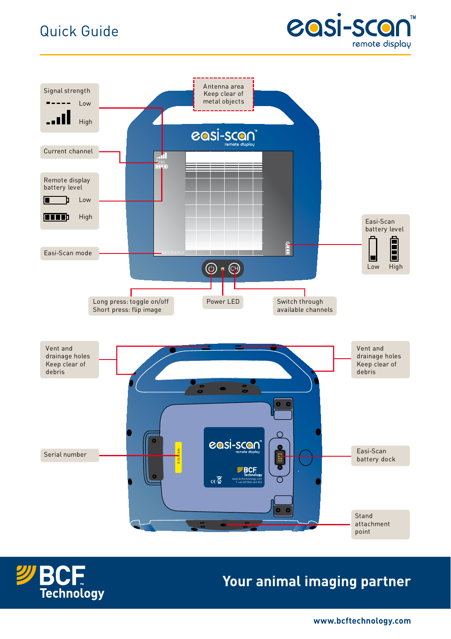## Quick Guide







## **Your animal imaging partner**

**www.bcftechnology.com**